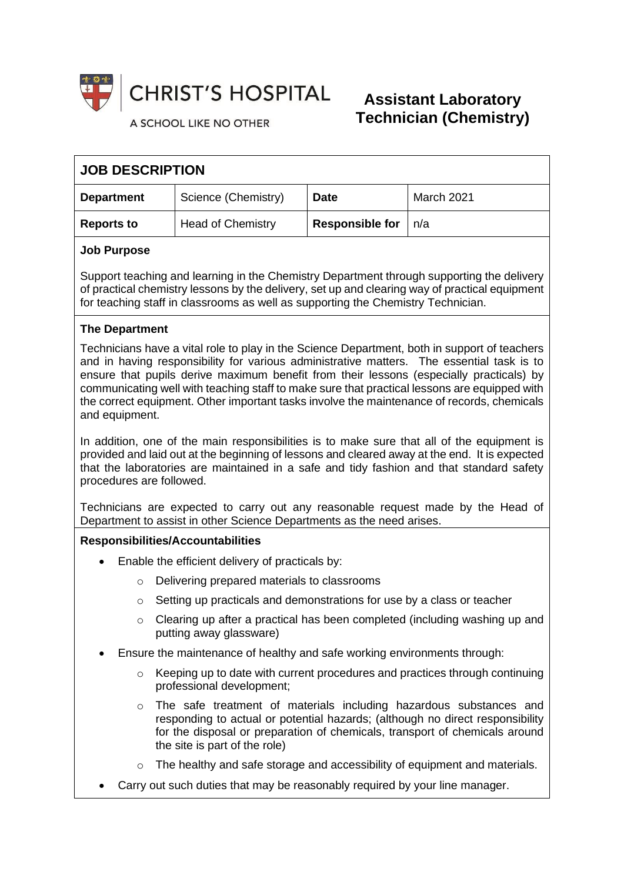

**CHRIST'S HOSPITAL** 

#### A SCHOOL LIKE NO OTHER

# **Assistant Laboratory Technician (Chemistry)**

| <b>JOB DESCRIPTION</b> |                          |                        |            |
|------------------------|--------------------------|------------------------|------------|
| <b>Department</b>      | Science (Chemistry)      | <b>Date</b>            | March 2021 |
| <b>Reports to</b>      | <b>Head of Chemistry</b> | <b>Responsible for</b> | n/a        |

### **Job Purpose**

Support teaching and learning in the Chemistry Department through supporting the delivery of practical chemistry lessons by the delivery, set up and clearing way of practical equipment for teaching staff in classrooms as well as supporting the Chemistry Technician.

## **The Department**

Technicians have a vital role to play in the Science Department, both in support of teachers and in having responsibility for various administrative matters. The essential task is to ensure that pupils derive maximum benefit from their lessons (especially practicals) by communicating well with teaching staff to make sure that practical lessons are equipped with the correct equipment. Other important tasks involve the maintenance of records, chemicals and equipment.

In addition, one of the main responsibilities is to make sure that all of the equipment is provided and laid out at the beginning of lessons and cleared away at the end. It is expected that the laboratories are maintained in a safe and tidy fashion and that standard safety procedures are followed.

Technicians are expected to carry out any reasonable request made by the Head of Department to assist in other Science Departments as the need arises.

### **Responsibilities/Accountabilities**

- Enable the efficient delivery of practicals by:
	- o Delivering prepared materials to classrooms
	- $\circ$  Setting up practicals and demonstrations for use by a class or teacher
	- $\circ$  Clearing up after a practical has been completed (including washing up and putting away glassware)
- Ensure the maintenance of healthy and safe working environments through:
	- $\circ$  Keeping up to date with current procedures and practices through continuing professional development;
	- $\circ$  The safe treatment of materials including hazardous substances and responding to actual or potential hazards; (although no direct responsibility for the disposal or preparation of chemicals, transport of chemicals around the site is part of the role)
	- $\circ$  The healthy and safe storage and accessibility of equipment and materials.
- Carry out such duties that may be reasonably required by your line manager.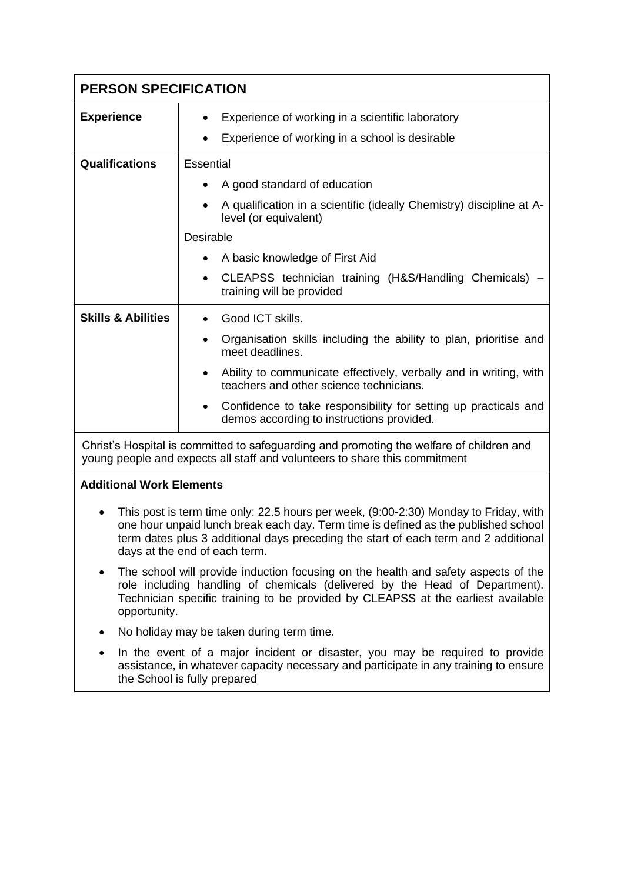| <b>PERSON SPECIFICATION</b>                                                                                                                                            |                                                                                                                                                                                                                                                                                                                                                                                 |  |
|------------------------------------------------------------------------------------------------------------------------------------------------------------------------|---------------------------------------------------------------------------------------------------------------------------------------------------------------------------------------------------------------------------------------------------------------------------------------------------------------------------------------------------------------------------------|--|
| <b>Experience</b>                                                                                                                                                      | Experience of working in a scientific laboratory<br>Experience of working in a school is desirable                                                                                                                                                                                                                                                                              |  |
| Qualifications                                                                                                                                                         | Essential<br>A good standard of education<br>A qualification in a scientific (ideally Chemistry) discipline at A-<br>$\bullet$                                                                                                                                                                                                                                                  |  |
|                                                                                                                                                                        | level (or equivalent)<br><b>Desirable</b><br>A basic knowledge of First Aid<br>CLEAPSS technician training (H&S/Handling Chemicals)<br>$\bullet$<br>training will be provided                                                                                                                                                                                                   |  |
| <b>Skills &amp; Abilities</b>                                                                                                                                          | Good ICT skills.<br>Organisation skills including the ability to plan, prioritise and<br>$\bullet$<br>meet deadlines.<br>Ability to communicate effectively, verbally and in writing, with<br>$\bullet$<br>teachers and other science technicians.<br>Confidence to take responsibility for setting up practicals and<br>$\bullet$<br>demos according to instructions provided. |  |
| Christ's Hospital is committed to safeguarding and promoting the welfare of children and<br>young people and expects all staff and volunteers to share this commitment |                                                                                                                                                                                                                                                                                                                                                                                 |  |

## **Additional Work Elements**

- This post is term time only: 22.5 hours per week, (9:00-2:30) Monday to Friday, with one hour unpaid lunch break each day. Term time is defined as the published school term dates plus 3 additional days preceding the start of each term and 2 additional days at the end of each term.
- The school will provide induction focusing on the health and safety aspects of the role including handling of chemicals (delivered by the Head of Department). Technician specific training to be provided by CLEAPSS at the earliest available opportunity.
- No holiday may be taken during term time.
- In the event of a major incident or disaster, you may be required to provide assistance, in whatever capacity necessary and participate in any training to ensure the School is fully prepared